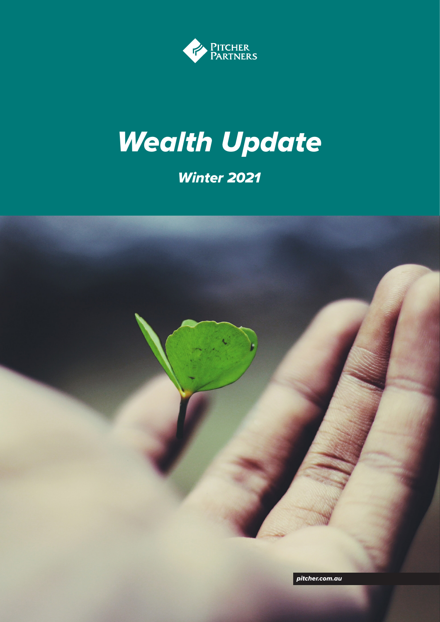

# *Wealth Update*

### *Winter 2021*

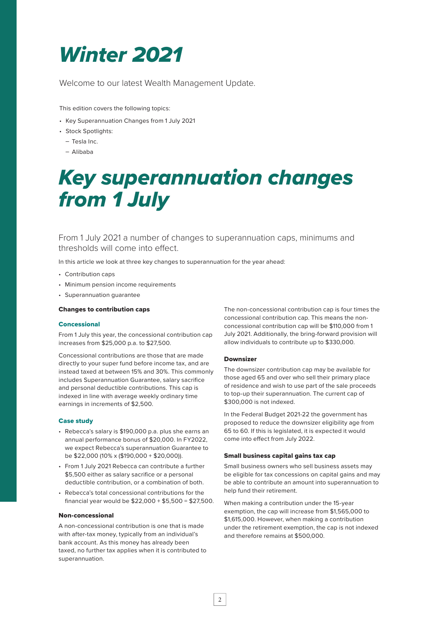### *Winter 2021*

Welcome to our latest Wealth Management Update.

This edition covers the following topics:

- Key Superannuation Changes from 1 July 2021
- Stock Spotlights:
	- Tesla Inc.
- Alibaba

### *Key superannuation changes from 1 July*

From 1 July 2021 a number of changes to superannuation caps, minimums and thresholds will come into effect.

In this article we look at three key changes to superannuation for the year ahead:

- Contribution caps
- Minimum pension income requirements
- Superannuation guarantee

### Changes to contribution caps

### **Concessional**

From 1 July this year, the concessional contribution cap increases from \$25,000 p.a. to \$27,500.

Concessional contributions are those that are made directly to your super fund before income tax, and are instead taxed at between 15% and 30%. This commonly includes Superannuation Guarantee, salary sacrifice and personal deductible contributions. This cap is indexed in line with average weekly ordinary time earnings in increments of \$2,500.

### Case study

- Rebecca's salary is \$190,000 p.a. plus she earns an annual performance bonus of \$20,000. In FY2022, we expect Rebecca's superannuation Guarantee to be \$22,000 (10% x (\$190,000 + \$20,000)).
- From 1 July 2021 Rebecca can contribute a further \$5,500 either as salary sacrifice or a personal deductible contribution, or a combination of both.
- Rebecca's total concessional contributions for the financial year would be \$22,000 + \$5,500 = \$27,500.

### Non-concessional

A non-concessional contribution is one that is made with after-tax money, typically from an individual's bank account. As this money has already been taxed, no further tax applies when it is contributed to superannuation.

The non-concessional contribution cap is four times the concessional contribution cap. This means the nonconcessional contribution cap will be \$110,000 from 1 July 2021. Additionally, the bring-forward provision will allow individuals to contribute up to \$330,000.

### Downsizer

The downsizer contribution cap may be available for those aged 65 and over who sell their primary place of residence and wish to use part of the sale proceeds to top-up their superannuation. The current cap of \$300,000 is not indexed.

In the Federal Budget 2021-22 the government has proposed to reduce the downsizer eligibility age from 65 to 60. If this is legislated, it is expected it would come into effect from July 2022.

### Small business capital gains tax cap

Small business owners who sell business assets may be eligible for tax concessions on capital gains and may be able to contribute an amount into superannuation to help fund their retirement.

When making a contribution under the 15-year exemption, the cap will increase from \$1,565,000 to \$1,615,000. However, when making a contribution under the retirement exemption, the cap is not indexed and therefore remains at \$500,000.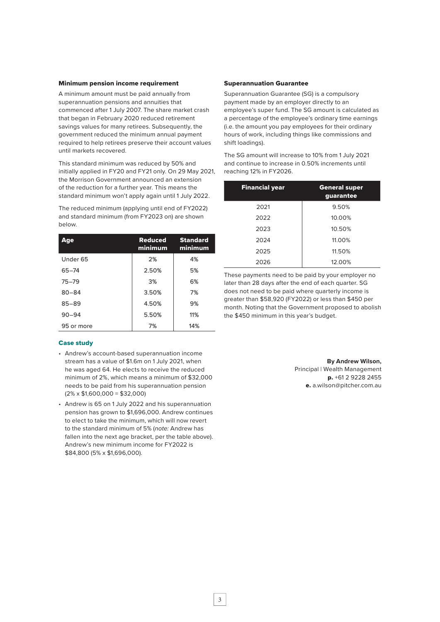### Minimum pension income requirement

A minimum amount must be paid annually from superannuation pensions and annuities that commenced after 1 July 2007. The share market crash that began in February 2020 reduced retirement savings values for many retirees. Subsequently, the government reduced the minimum annual payment required to help retirees preserve their account values until markets recovered.

This standard minimum was reduced by 50% and initially applied in FY20 and FY21 only. On 29 May 2021, the Morrison Government announced an extension of the reduction for a further year. This means the standard minimum won't apply again until 1 July 2022.

The reduced minimum (applying until end of FY2022) and standard minimum (from FY2023 on) are shown below.

| Age                 | <b>Reduced</b><br>minimum | <b>Standard</b><br>minimum |
|---------------------|---------------------------|----------------------------|
| Under <sub>65</sub> | 2%                        | 4%                         |
| $65 - 74$           | 2.50%                     | 5%                         |
| $75 - 79$           | 3%                        | 6%                         |
| $80 - 84$           | 3.50%                     | 7%                         |
| $85 - 89$           | 4.50%                     | 9%                         |
| $90 - 94$           | 5.50%                     | 11%                        |
| 95 or more          | 7%                        | 14%                        |

### Case study

- Andrew's account-based superannuation income stream has a value of \$1.6m on 1 July 2021, when he was aged 64. He elects to receive the reduced minimum of 2%, which means a minimum of \$32,000 needs to be paid from his superannuation pension  $(2\% \times $1,600,000 = $32,000)$
- Andrew is 65 on 1 July 2022 and his superannuation pension has grown to \$1,696,000. Andrew continues to elect to take the minimum, which will now revert to the standard minimum of 5% (*note:* Andrew has fallen into the next age bracket, per the table above). Andrew's new minimum income for FY2022 is \$84,800 (5% x \$1,696,000).

### Superannuation Guarantee

Superannuation Guarantee (SG) is a compulsory payment made by an employer directly to an employee's super fund. The SG amount is calculated as a percentage of the employee's ordinary time earnings (i.e. the amount you pay employees for their ordinary hours of work, including things like commissions and shift loadings).

The SG amount will increase to 10% from 1 July 2021 and continue to increase in 0.50% increments until reaching 12% in FY2026.

| <b>Financial year</b> | <b>General super</b><br>guarantee |  |  |
|-----------------------|-----------------------------------|--|--|
| 2021                  | 9.50%                             |  |  |
| 2022                  | 10.00%                            |  |  |
| 2023                  | 10.50%                            |  |  |
| 2024                  | 11.00%                            |  |  |
| 2025                  | 11.50%                            |  |  |
| 2026                  | 12.00%                            |  |  |

These payments need to be paid by your employer no later than 28 days after the end of each quarter. SG does not need to be paid where quarterly income is greater than \$58,920 (FY2022) or less than \$450 per month. Noting that the Government proposed to abolish the \$450 minimum in this year's budget.

> **By Andrew Wilson,** Principal | Wealth Management p. +61 2 9228 2455 e. a.wilson@pitcher.com.au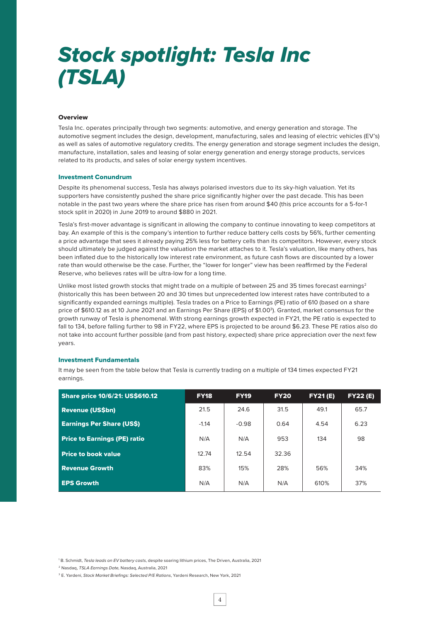## *Stock spotlight: Tesla Inc (TSLA)*

### **Overview**

Tesla Inc. operates principally through two segments: automotive, and energy generation and storage. The automotive segment includes the design, development, manufacturing, sales and leasing of electric vehicles (EV's) as well as sales of automotive regulatory credits. The energy generation and storage segment includes the design, manufacture, installation, sales and leasing of solar energy generation and energy storage products, services related to its products, and sales of solar energy system incentives.

#### Investment Conundrum

Despite its phenomenal success, Tesla has always polarised investors due to its sky-high valuation. Yet its supporters have consistently pushed the share price significantly higher over the past decade. This has been notable in the past two years where the share price has risen from around \$40 (this price accounts for a 5-for-1 stock split in 2020) in June 2019 to around \$880 in 2021.

Tesla's first-mover advantage is significant in allowing the company to continue innovating to keep competitors at bay. An example of this is the company's intention to further reduce battery cells costs by 56%, further cementing a price advantage that sees it already paying 25% less for battery cells than its competitors. However, every stock should ultimately be judged against the valuation the market attaches to it. Tesla's valuation, like many others, has been inflated due to the historically low interest rate environment, as future cash flows are discounted by a lower rate than would otherwise be the case. Further, the "lower for longer" view has been reaffirmed by the Federal Reserve, who believes rates will be ultra-low for a long time.

Unlike most listed growth stocks that might trade on a multiple of between 25 and 35 times forecast earnings<sup>2</sup> (historically this has been between 20 and 30 times but unprecedented low interest rates have contributed to a significantly expanded earnings multiple). Tesla trades on a Price to Earnings (PE) ratio of 610 (based on a share price of \$610.12 as at 10 June 2021 and an Earnings Per Share (EPS) of \$1.003). Granted, market consensus for the growth runway of Tesla is phenomenal. With strong earnings growth expected in FY21, the PE ratio is expected to fall to 134, before falling further to 98 in FY22, where EPS is projected to be around \$6.23. These PE ratios also do not take into account further possible (and from past history, expected) share price appreciation over the next few years.

#### Investment Fundamentals

It may be seen from the table below that Tesla is currently trading on a multiple of 134 times expected FY21 earnings.

| <b>Share price 10/6/21: US\$610.12</b> | <b>FY18</b> | <b>FY19</b> | <b>FY20</b> | <b>FY21(E)</b> | FY22(E) |
|----------------------------------------|-------------|-------------|-------------|----------------|---------|
| <b>Revenue (US\$bn)</b>                | 21.5        | 24.6        | 31.5        | 49.1           | 65.7    |
| <b>Earnings Per Share (US\$)</b>       | $-1.14$     | $-0.98$     | 0.64        | 4.54           | 6.23    |
| <b>Price to Earnings (PE) ratio</b>    | N/A         | N/A         | 953         | 134            | 98      |
| <b>Price to book value</b>             | 12.74       | 12.54       | 32.36       |                |         |
| <b>Revenue Growth</b>                  | 83%         | 15%         | 28%         | 56%            | 34%     |
| <b>EPS Growth</b>                      | N/A         | N/A         | N/A         | 610%           | 37%     |

<sup>1</sup> B. Schmidt, *Tesla leads on EV battery costs*, despite soaring lithium prices, The Driven, Australia, 2021

<sup>2</sup> Nasdaq, *TSLA Earnings Date,* Nasdaq, Australia, 2021

<sup>3</sup> E. Yardeni, *Stock Market Briefings: Selected P/E Rations*, Yardeni Research, New York, 2021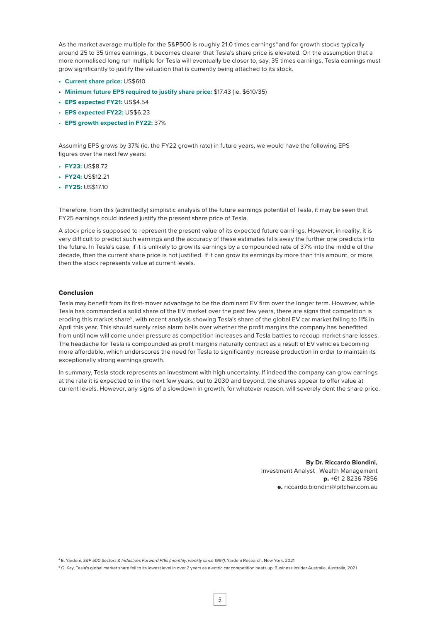As the market average multiple for the S&P500 is roughly 21.0 times earnings<sup>4</sup> and for growth stocks typically around 25 to 35 times earnings, it becomes clearer that Tesla's share price is elevated. On the assumption that a more normalised long run multiple for Tesla will eventually be closer to, say, 35 times earnings, Tesla earnings must grow significantly to justify the valuation that is currently being attached to its stock.

- **• Current share price:** US\$610
- **• Minimum future EPS required to justify share price:** \$17.43 (ie. \$610/35)
- **• EPS expected FY21:** US\$4.54
- **EPS expected FY22:** US\$6.23
- **EPS growth expected in FY22:** 37%

Assuming EPS grows by 37% (ie. the FY22 growth rate) in future years, we would have the following EPS figures over the next few years:

- **FY23:** US\$8.72
- **• FY24:** US\$12.21
- **• FY25:** US\$17.10

Therefore, from this (admittedly) simplistic analysis of the future earnings potential of Tesla, it may be seen that FY25 earnings could indeed justify the present share price of Tesla.

A stock price is supposed to represent the present value of its expected future earnings. However, in reality, it is very difficult to predict such earnings and the accuracy of these estimates falls away the further one predicts into the future. In Tesla's case, if it is unlikely to grow its earnings by a compounded rate of 37% into the middle of the decade, then the current share price is not justified. If it can grow its earnings by more than this amount, or more, then the stock represents value at current levels.

#### Conclusion

Tesla may benefit from its first-mover advantage to be the dominant EV firm over the longer term. However, while Tesla has commanded a solid share of the EV market over the past few years, there are signs that competition is eroding this market share<sup>5</sup>, with recent analysis showing Tesla's share of the global EV car market falling to 11% in April this year. This should surely raise alarm bells over whether the profit margins the company has benefitted from until now will come under pressure as competition increases and Tesla battles to recoup market share losses. The headache for Tesla is compounded as profit margins naturally contract as a result of EV vehicles becoming more affordable, which underscores the need for Tesla to significantly increase production in order to maintain its exceptionally strong earnings growth.

In summary, Tesla stock represents an investment with high uncertainty. If indeed the company can grow earnings at the rate it is expected to in the next few years, out to 2030 and beyond, the shares appear to offer value at current levels. However, any signs of a slowdown in growth, for whatever reason, will severely dent the share price.

> **By Dr. Riccardo Biondini,** Investment Analyst | Wealth Management p. +61 2 8236 7856 e. riccardo.biondini@pitcher.com.au

4 E. Yardeni, *S&P 500 Sectors & Industries Forward P/Es (monthly, weekly since 1997)*, Yardeni Research, New York, 2021

5 G. Kay, Tesla's global market share fell to its lowest level in over 2 years as electric car competition heats up, Business Insider Australia, Australia, 2021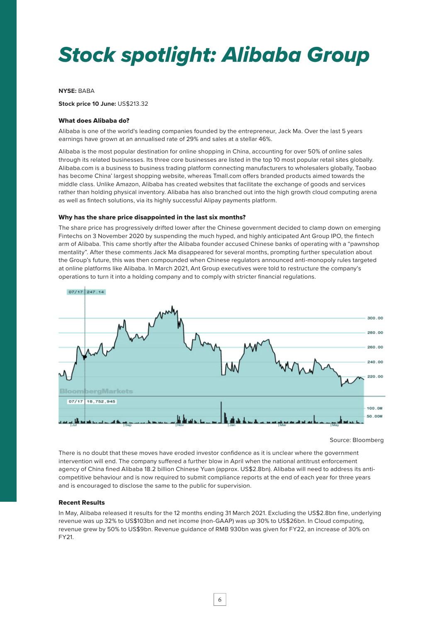# *Stock spotlight: Alibaba Group*

#### **NYSE:** BABA

**Stock price 10 June:** US\$213.32

### What does Alibaba do?

Alibaba is one of the world's leading companies founded by the entrepreneur, Jack Ma. Over the last 5 years earnings have grown at an annualised rate of 29% and sales at a stellar 46%.

Alibaba is the most popular destination for online shopping in China, accounting for over 50% of online sales through its related businesses. Its three core businesses are listed in the top 10 most popular retail sites globally. Alibaba.com is a business to business trading platform connecting manufacturers to wholesalers globally, Taobao has become China' largest shopping website, whereas Tmall.com offers branded products aimed towards the middle class. Unlike Amazon, Alibaba has created websites that facilitate the exchange of goods and services rather than holding physical inventory. Alibaba has also branched out into the high growth cloud computing arena as well as fintech solutions, via its highly successful Alipay payments platform.

#### Why has the share price disappointed in the last six months?

The share price has progressively drifted lower after the Chinese government decided to clamp down on emerging Fintechs on 3 November 2020 by suspending the much hyped, and highly anticipated Ant Group IPO, the fintech arm of Alibaba. This came shortly after the Alibaba founder accused Chinese banks of operating with a "pawnshop mentality". After these comments Jack Ma disappeared for several months, prompting further speculation about the Group's future, this was then compounded when Chinese regulators announced anti-monopoly rules targeted at online platforms like Alibaba. In March 2021, Ant Group executives were told to restructure the company's operations to turn it into a holding company and to comply with stricter financial regulations.



Source: Bloomberg

There is no doubt that these moves have eroded investor confidence as it is unclear where the government intervention will end. The company suffered a further blow in April when the national antitrust enforcement agency of China fined Alibaba 18.2 billion Chinese Yuan (approx. US\$2.8bn). Alibaba will need to address its anticompetitive behaviour and is now required to submit compliance reports at the end of each year for three years and is encouraged to disclose the same to the public for supervision.

### Recent Results

In May, Alibaba released it results for the 12 months ending 31 March 2021. Excluding the US\$2.8bn fine, underlying revenue was up 32% to US\$103bn and net income (non-GAAP) was up 30% to US\$26bn. In Cloud computing, revenue grew by 50% to US\$9bn. Revenue guidance of RMB 930bn was given for FY22, an increase of 30% on FY21.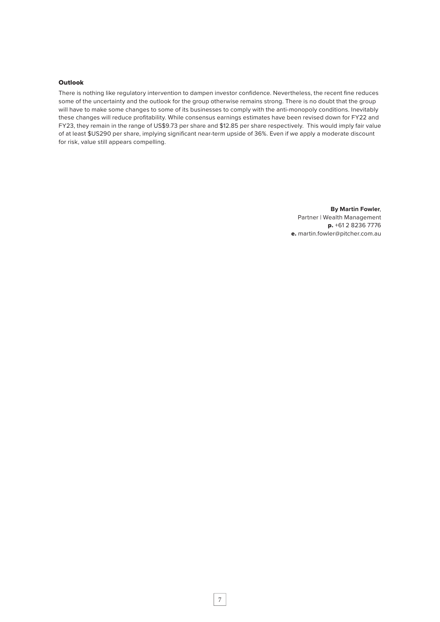### **Outlook**

There is nothing like regulatory intervention to dampen investor confidence. Nevertheless, the recent fine reduces some of the uncertainty and the outlook for the group otherwise remains strong. There is no doubt that the group will have to make some changes to some of its businesses to comply with the anti-monopoly conditions. Inevitably these changes will reduce profitability. While consensus earnings estimates have been revised down for FY22 and FY23, they remain in the range of US\$9.73 per share and \$12.85 per share respectively. This would imply fair value of at least \$US290 per share, implying significant near-term upside of 36%. Even if we apply a moderate discount for risk, value still appears compelling.

> **By Martin Fowler**, Partner | Wealth Management p. +61 2 8236 7776 e. martin.fowler@pitcher.com.au